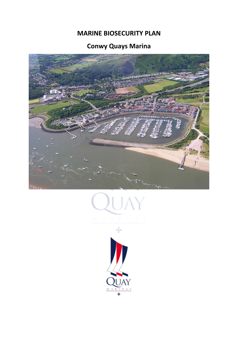## **MARINE BIOSECURITY PLAN**

# **Conwy Quays Marina**





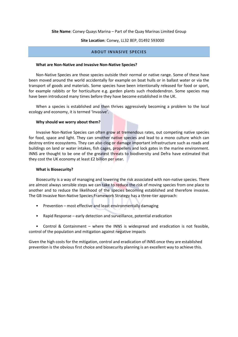#### **Site Name**: Conwy Quays Marina – Part of the Quay Marinas Limited Group

#### **Site Location**: Conwy, LL32 8EP, 01492 593000

### **ABOUT INVASIVE SPECIES**

#### **What are Non-Native and Invasive Non-Native Species?**

Non-Native Species are those species outside their normal or native range. Some of these have been moved around the world accidentally for example on boat hulls or in ballast water or via the transport of goods and materials. Some species have been intentionally released for food or sport, for example rabbits or for horticulture e.g. garden plants such rhododendron. Some species may have been introduced many times before they have become established in the UK.

When a species is established and then thrives aggressively becoming a problem to the local ecology and economy, it is termed 'Invasive'.

#### **Why should we worry about them?**

Invasive Non-Native Species can often grow at tremendous rates, out competing native species for food, space and light. They can smother native species and lead to a mono culture which can destroy entire ecosystems. They can also clog or damage important infrastructure such as roads and buildings on land or water intakes, fish cages, propellers and lock gates in the marine environment. INNS are thought to be one of the greatest threats to biodiversity and Defra have estimated that they cost the UK economy at least £2 billion per year.

### **What is Biosecurity?**

Biosecurity is a way of managing and lowering the risk associated with non-native species. There are almost always sensible steps we can take to reduce the risk of moving species from one place to another and to reduce the likelihood of the species becoming established and therefore invasive. The GB Invasive Non-Native Species Framework Strategy has a three-tier approach:

- Prevention most effective and least environmentally damaging
- Rapid Response early detection and surveillance, potential eradication

• Control & Containment – where the INNS is widespread and eradication is not feasible, control of the population and mitigation against negative impacts

Given the high costs for the mitigation, control and eradication of INNS once they are established prevention is the obvious first choice and biosecurity planning is an excellent way to achieve this.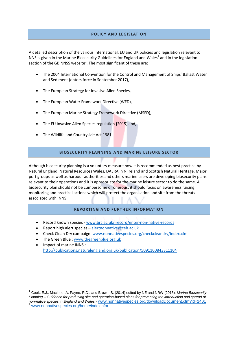## **POLICY AND LEGISLATION**

A detailed description of the various international, EU and UK policies and legislation relevant to NNS is given in the Marine Biosecurity Guidelines for England and Wales<sup>1</sup> and in the legislation section of the GB NNSS website<sup>2</sup>. The most significant of these are:

- The 2004 International Convention for the Control and Management of Ships' Ballast Water and Sediment (enters force in September 2017),
- The European Strategy for Invasive Alien Species,
- The European Water Framework Directive (WFD),
- The European Marine Strategy Framework Directive (MSFD),
- The EU Invasive Alien Species regulation **(**2015) and,
- The Wildlife and Countryside Act 1981.

## **BIOSECURITY PLANNING AND MARINE LEISURE SECTOR**

Although biosecurity planning is a voluntary measure now it is recommended as best practice by Natural England, Natural Resources Wales, DAERA in N Ireland and Scottish Natural Heritage. Major port groups as well as harbour authorities and others marine users are developing biosecurity plans relevant to their operations and it is appropriate for the marine leisure sector to do the same. A biosecurity plan should not be cumbersome or onerous; it should focus on awareness raising, monitoring and practical actions which will protect the organisation and site from the threats associated with INNS.

## **REPORTING AND FURTHER INFORMATION**

- Record known species [www.brc.ac.uk/irecord/enter-non-native-records](http://www.brc.ac.uk/irecord/enter-non-native-records)
- Report high alert species [alertnonnative@ceh.ac.uk](mailto:alertnonnative@ceh.ac.uk)
- Check Clean Dry campaign[: www.nonnativespecies.org/checkcleandry/index.cfm](http://www.nonnativespecies.org/checkcleandry/index.cfm)
- The Green Blue : [www.thegreenblue.org.uk](http://www.thegreenblue.org.uk/)

**.** 

• Impact of marine INNS : <http://publications.naturalengland.org.uk/publication/5091100843311104>

<sup>1</sup> Cook, E.J., Macleod, A. Payne, R.D., and Brown, S. (2014) edited by NE and NRW (2015). *Marine Biosecurity Planning – Guidance for producing site and operation-based plans for preventing the introduction and spread of non-native species in England and Wales* - [www.nonnativespecies.org/downloadDocument.cfm?id=1401](http://www.nonnativespecies.org/downloadDocument.cfm?id=1401) [www.nonnativespecies.org/home/index.cfm](http://www.nonnativespecies.org/home/index.cfm)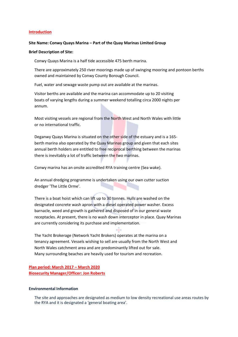#### **Introduction**

#### **Site Name: Conwy Quays Marina – Part of the Quay Marinas Limited Group**

#### **Brief Description of Site:**

Conwy Quays Marina is a half tide accessible 475 berth marina.

There are approximately 250 river moorings made up of swinging mooring and pontoon berths owned and maintained by Conwy County Borough Council.

Fuel, water and sewage waste pump out are available at the marinas.

Visitor berths are available and the marina can accommodate up to 20 visiting boats of varying lengths during a summer weekend totalling circa 2000 nights per annum.

Most visiting vessels are regional from the North West and North Wales with little or no international traffic.

Deganwy Quays Marina is situated on the other side of the estuary and is a 165 berth marina also operated by the Quay Marinas group and given that each sites annual berth holders are entitled to free reciprocal berthing between the marinas there is inevitably a lot of traffic between the two marinas.

Conwy marina has an onsite accredited RYA training centre (Sea wake).

An annual dredging programme is undertaken using our own cutter suction dredger 'The Little Orme'.

There is a boat hoist which can lift up to 30 tonnes. Hulls are washed on the designated concrete wash apron with a diesel operated power washer. Excess barnacle, weed and growth is gathered and disposed of in our general waste receptacles. At present, there is no wash down interceptor in place. Quay Marinas are currently considering its purchase and implementation.

rin.

The Yacht Brokerage (Network Yacht Brokers) operates at the marina on a tenancy agreement. Vessels wishing to sell are usually from the North West and North Wales catchment area and are predominantly lifted out for sale. Many surrounding beaches are heavily used for tourism and recreation.

**Plan period: March 2017 – March 2020 Biosecurity Manager/Officer: Jon Roberts**

#### **Environmental Information**

The site and approaches are designated as medium to low density recreational use areas routes by the RYA and it is designated a 'general boating area'.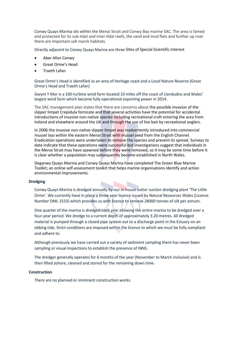Conwy Quays Marina sits within the Menai Strait and Conwy Bay marine SAC. The area is famed and protected for its sub-tidal and inter-tidal reefs, the sand and mud flats and further up river there are important salt marsh habitats.

Directly adjacent to Conwy Quays Marina are three Sites of Special Scientific Interest

- Aber Afon Conwy
- Great Orme's Head
- Traeth Lafan

Great Orme's Head is identified as an area of heritage coast and a Local Nature Reserve (Great Orme's Head and Traeth Lafan)

Gwynt Y Mor is a 160-turbine wind farm located 10 miles off the coast of Llandudno and Wales' largest wind farm which became fully operational exporting power in 2014.

The SAC management plan states that there are concerns about the possible invasion of the slipper limpet Crepidula fornicate and that several activities have the potential for accidental introductions of invasive non-native species including recreational craft entering the area from Ireland and elsewhere around the UK and through the use of live bait by recreational anglers.

In 2006 the invasive non-native slipper limpet was inadvertently introduced into commercial mussel lays within the eastern Menai Strait with mussel seed from the English Channel. Eradication operations were undertaken to remove the species and prevent its spread. Surveys to date indicate that these operations were successful but investigations suggest that individuals in the Menai Strait may have spawned before they were removed, so it may be some time before it is clear whether a population may subsequently become established in North Wales.

Deganwy Quays Marina and Conwy Quays Marina have completed The Green Blue Marine Toolkit; an online self-assessment toolkit that helps marine organisations identify and action environmental improvements.

#### **Dredging**

Conwy Quays Marina is dredged annually by our in-house cutter suction dredging plant 'The Little Orme'. We currently have in place a three-year licence issued by Natural Resources Wales (Licence Number DML 1533) which provides us with licence to remove 28000 tonnes of silt per annum.

One quarter of the marina is dredged each year allowing the entire marina to be dredged over a four-year period. We dredge to a current depth of approximately 3.20 metres. All dredged material is pumped through a closed pipe system out to a discharge point in the Estuary on an ebbing tide. Strict conditions are imposed within the licence to which we must be fully compliant and adhere to.

Although previously we have carried out a variety of sediment sampling there has never been sampling or visual inspections to establish the presence of INNS.

The dredger generally operates for 6 months of the year (November to March inclusive) and is then lifted ashore, cleaned and stored for the remaining down time.

#### **Construction**

There are no planned or imminent construction works.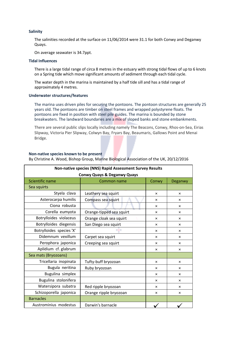#### **Salinity**

The salinities recorded at the surface on 11/06/2014 were 31.1 for both Conwy and Deganwy Quays.

On average seawater is 34.7ppt.

#### **Tidal Influences**

There is a large tidal range of circa 8 metres in the estuary with strong tidal flows of up to 6 knots on a Spring tide which move significant amounts of sediment through each tidal cycle.

The water depth in the marina is maintained by a half tide sill and has a tidal range of approximately 4 metres.

#### **Underwater structures/features**

The marina uses driven piles for securing the pontoons. The pontoon structures are generally 25 years old. The pontoons are timber on steel frames and wrapped polystyrene floats. The pontoons are fixed in position with steel pile guides. The marina is bounded by stone breakwaters. The landward boundaries are a mix of sloped banks and stone embankments.

There are several public slips locally including namely The Beacons, Conwy, Rhos-on-Sea, Eirias Slipway, Victoria Pier Slipway, Colwyn Bay, Fryars Bay, Beaumaris, Gallows Point and Menai Bridge.

#### **Non-native species known to be present**

By Christine A. Wood, Bishop Group, Marine Biological Association of the UK, 20/12/2016

| Non-native species (NNS) Rapid Assessment Survey Results |                          |          |          |  |
|----------------------------------------------------------|--------------------------|----------|----------|--|
| <b>Conwy Quays &amp; Deganwy Quays</b>                   |                          |          |          |  |
| Scientific name                                          | Common name              | Conwy    | Deganwy  |  |
| Sea squirts                                              |                          |          |          |  |
| Styela clava                                             | Leathery sea squirt      | $\times$ | $\times$ |  |
| Asterocarpa humilis                                      | Compass sea squirt       | $\times$ | ×        |  |
| Ciona robusta                                            |                          | $\times$ | ×        |  |
| Corella eumyota                                          | Orange-tipped sea squirt | $\times$ | ×        |  |
| Botrylloides violaceus                                   | Orange cloak sea squirt  | $\times$ | ×        |  |
| Botrylloides diegensis                                   | San Diego sea squirt     | ×        | ×        |  |
| Botrylloides species 'X'                                 | a prim                   | $\times$ | ×        |  |
| Didemnum vexillum                                        | Carpet sea squirt        | $\times$ | ×        |  |
| Perophora japonica                                       | Creeping sea squirt      | $\times$ | ×        |  |
| Aplidium cf. glabrum                                     |                          | $\times$ | ×        |  |
| Sea mats (Bryozoans)                                     |                          |          |          |  |
| Tricellaria inopinata                                    | Tufty-buff bryozoan      | $\times$ | $\times$ |  |
| Bugula neritina                                          | Ruby bryozoan            | $\times$ | ×        |  |
| Bugulina simplex                                         |                          | $\times$ | ×        |  |
| Bugulina stolonifera                                     |                          | $\times$ | ×        |  |
| Watersipora subatra                                      | Red ripple bryozoan      | $\times$ | ×        |  |
| Schizoporella japonica                                   | Orange ripple bryozoan   | $\times$ | ×        |  |
| <b>Barnacles</b>                                         |                          |          |          |  |
| Austrominius modestus                                    | Darwin's barnacle        |          |          |  |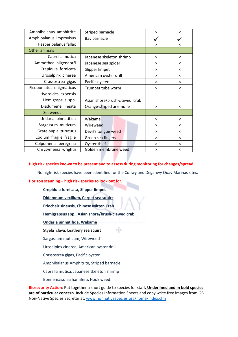| Amphibalanus amphitrite | Striped barnacle              | ×        | ×        |
|-------------------------|-------------------------------|----------|----------|
| Amphibalanus improvisus | Bay barnacle                  |          |          |
| Hesperibalanus fallax   |                               | $\times$ | $\times$ |
| Other animals           |                               |          |          |
| Caprella mutica         | Japanese skeleton shrimp      | $\times$ | $\times$ |
| Ammothea hilgendorfi    | Japanese sea spider           | $\times$ | $\times$ |
| Crepidula fornicata     | Slipper limpet                | $\times$ | $\times$ |
| Urosalpinx cinerea      | American oyster drill         | $\times$ | $\times$ |
| Crassostrea gigas       | Pacific oyster                | $\times$ | $\times$ |
| Ficopomatus enigmaticus | Trumpet tube worm             | $\times$ | ×        |
| Hydroides ezoensis      |                               |          |          |
| Hemigrapsus spp.        | Asian shore/brush-clawed crab |          |          |
| Diadumene lineata       | Orange-striped anemone        | $\times$ | $\times$ |
| Seaweeds                |                               |          |          |
| Undaria pinnatifida     | Wakame                        | $\times$ | $\times$ |
| Sargassum muticum       | Wireweed                      | ×        | $\times$ |
| Grateloupia turuturu    | Devil's tongue weed           | ×        | $\times$ |
| Codium fragile fragile  | Green sea fingers             | $\times$ | $\times$ |
| Colpomenia peregrina    | Oyster thief                  | $\times$ | $\times$ |
| Chrysymenia wrightii    | Golden membrane weed          | ×        | ×        |

## **High risk species known to be present and to assess during monitoring for changes/spread.**

No high-risk species have been identified for the Conwy and Deganwy Quay Marinas sites.

ή.

## **Horizon scanning – high risk species to look out for.**

#### **Crepidula fornicata, Slipper limpet**

**Didemnum vexillum, Carpet sea squirt**

## **Eriocheir sinensis, Chinese Mitten Crab**

## **Hemigrapsus spp., Asian shore/brush-clawed crab**

#### **Undaria pinnatifida, Wakame**

Styela clava, Leathery sea squirt

### Sargassum muticum, Wireweed

Urosalpinx cinerea, American oyster drill

#### Crassostrea gigas, Pacific oyster

Amphibalanus Amphitrite, Striped barnacle

#### Caprella mutica, Japanese skeleton shrimp

Bonnemaisonia hamifera, Hook weed

**Biosecurity Action**: Put together a short guide to species for staff**. Underlined and in bold species are of particular concern**. Include Species Information Sheets and copy write free images fro[m GB](http://www.nonnativespecies.org/home/index.cfm)  [Non-Native Species Secretariat.](http://www.nonnativespecies.org/home/index.cfm) [www.nonnativespecies.org/home/index.cfm](http://www.nonnativespecies.org/home/index.cfm)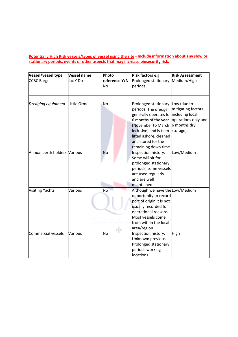**Potentially High Risk vessels/types of vessel using the site** - **Include information about any slow or stationary periods, events or other aspects that may increase biosecurity risk.**

| Vessel/vessel type             | <b>Vessel name</b> | Photo         | Risk factors e.g.                       | <b>Risk Assessment</b> |
|--------------------------------|--------------------|---------------|-----------------------------------------|------------------------|
| <b>CCBC Barge</b>              | Jac Y Do           | reference Y/N | Prolonged stationary Medium/High        |                        |
|                                |                    | No            | periods                                 |                        |
|                                |                    |               |                                         |                        |
|                                |                    |               |                                         |                        |
| Dredging equipment Little Orme |                    | <b>No</b>     | Prolonged stationary Low (due to        |                        |
|                                |                    |               | periods. The dredger mitigating factors |                        |
|                                |                    |               | generally operates for including local  |                        |
|                                |                    |               | 6 months of the year                    | operations only and    |
|                                |                    |               | (November to March                      | 6 months dry           |
|                                |                    |               | inclusive) and is then                  | storage)               |
|                                |                    |               | lifted ashore, cleaned                  |                        |
|                                |                    |               | and stored for the                      |                        |
|                                |                    |               | remaining down time.                    |                        |
| Annual berth holders Various   |                    | No            | Inspection history.                     | Low/Medium             |
|                                |                    |               | Some will sit for                       |                        |
|                                |                    |               | prolonged stationary                    |                        |
|                                |                    |               | periods, some vessels                   |                        |
|                                |                    |               | are used regularly                      |                        |
|                                |                    |               | and are well                            |                        |
|                                |                    |               | maintained                              |                        |
| <b>Visiting Yachts</b>         | Various            | <b>No</b>     | Although we have the Low/Medium         |                        |
|                                |                    |               | opportunity to record                   |                        |
|                                |                    |               | port of origin it is not                |                        |
|                                |                    |               | usually recorded for                    |                        |
|                                |                    |               | operational reasons.                    |                        |
|                                |                    |               | Most vessels come                       |                        |
|                                |                    |               | from within the local                   |                        |
|                                |                    |               | area/region.                            |                        |
| Commercial vessels             | Various            | <b>No</b>     | Inspection history.                     | High                   |
|                                |                    |               | Unknown previous                        |                        |
|                                |                    |               | Prolonged stationary                    |                        |
|                                |                    |               | periods working                         |                        |
|                                |                    |               | locations.                              |                        |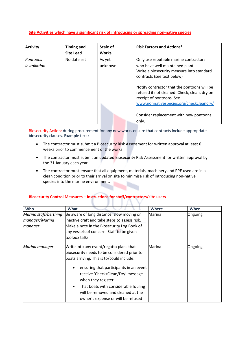## **Site Activities which have a significant risk of introducing or spreading non-native species**

| <b>Activity</b>          | <b>Timing and</b> | <b>Scale of</b>   | <b>Risk Factors and Actions*</b>                                                                                                                                   |
|--------------------------|-------------------|-------------------|--------------------------------------------------------------------------------------------------------------------------------------------------------------------|
|                          | <b>Site Lead</b>  | <b>Works</b>      |                                                                                                                                                                    |
| Pontoons<br>installation | No date set       | As yet<br>unknown | Only use reputable marine contractors<br>who have well maintained plant.<br>Write a biosecurity measure into standard<br>contracts (see text below)                |
|                          |                   |                   | Notify contractor that the pontoons will be<br>refused if not cleaned. Check, clean, dry on<br>receipt of pontoons. See<br>www.nonnativespecies.org/checkcleandry/ |
|                          |                   |                   | Consider replacement with new pontoons<br>only.                                                                                                                    |

Biosecurity Action: during procurement for any new works ensure that contracts include appropriate biosecurity clauses. Example text :

- The contractor must submit a Biosecurity Risk Assessment for written approval at least 6 weeks prior to commencement of the works.
- The contractor must submit an updated Biosecurity Risk Assessment for written approval by the 31 January each year.
- The contractor must ensure that all equipment, materials, machinery and PPE used are in a clean condition prior to their arrival on site to minimise risk of introducing non-native species into the marine environment.

71 I A

## **Biosecurity Control Measures – Instructions for staff/contractors/site users**

п.

| Who                   | <b>What</b>                                         | <b>Where</b> | When    |
|-----------------------|-----------------------------------------------------|--------------|---------|
| Marina staff/berthing | Be aware of long distance, slow moving or           | Marina       | Ongoing |
| manager/Marina        | inactive craft and take steps to assess risk.       |              |         |
| manager               | Make a note in the Biosecurity Log Book of          |              |         |
|                       | any vessels of concern. Staff to be given           |              |         |
|                       | toolbox talks.                                      |              |         |
| Marina manager        | Write into any event/regatta plans that             | Marina       | Ongoing |
|                       | biosecurity needs to be considered prior to         |              |         |
|                       | boats arriving. This is to/could include:           |              |         |
|                       | ensuring that participants in an event<br>$\bullet$ |              |         |
|                       | receive 'Check/Clean/Dry' message                   |              |         |
|                       | when they register.                                 |              |         |
|                       | That boats with considerable fouling                |              |         |
|                       | will be removed and cleaned at the                  |              |         |
|                       | owner's expense or will be refused                  |              |         |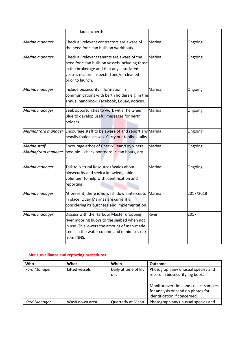|                                     | launch/berth.                                                                                                                                                                                               |               |           |
|-------------------------------------|-------------------------------------------------------------------------------------------------------------------------------------------------------------------------------------------------------------|---------------|-----------|
| Marina manager                      | Check all relevant contractors are aware of<br>the need for clean hulls on workboats.                                                                                                                       | Marina        | Ongoing   |
| Marina manager                      | Check all relevant tenants are aware of the<br>need for clean hulls on vessels including those<br>in the brokerage and that any associated<br>vessels etc. are inspected and/or cleaned<br>prior to launch. | Marina        | Ongoing   |
| Marina manager                      | Include biosecurity information in<br>communications with berth holders e.g. in the<br>annual handbook, Facebook, Equay, notices.                                                                           | <b>Marina</b> | Ongoing   |
| Marina manager                      | Seek opportunities to work with The Green<br>Blue to develop useful messages for berth<br>holders.                                                                                                          | <b>Marina</b> | Ongoing   |
|                                     | Marina/Yard manager Encourage staff to be aware of and report any Marina<br>heavily fouled vessels. Carry out toolbox talks.                                                                                |               | Ongoing   |
| Marina staff<br>Marina/Yard manager | Encourage ethos of Check/Clean/Dry where<br>possible - check pontoons, clean boats, dry<br>kit.                                                                                                             | Marina        | Ongoing   |
| Marina manager                      | Talk to Natural Resources Wales about<br>biosecurity and seek a knowledgeable<br>volunteer to help with identification and<br>reporting.                                                                    | Marina        | Ongoing   |
| Marina manager                      | At present, there is no wash down interceptor Marina<br>in place. Quay Marinas are currently<br>considering its purchase and implementation.<br>and the con-                                                |               | 2017/2018 |
| Marina manager                      | Discuss with the Harbour Master dropping<br>river mooring buoys to the seabed when not<br>in use. This lowers the amount of man-made<br>items in the water column and minimises risk<br>from INNS.          | River         | 2017      |

## **Site surveillance and reporting procedures**

| Who                 | What           | When                         | <b>Outcome</b>                                                                                                                                                                       |
|---------------------|----------------|------------------------------|--------------------------------------------------------------------------------------------------------------------------------------------------------------------------------------|
| <b>Yard Manager</b> | Lifted vessels | Daily at time of lift<br>out | Photograph any unusual species and<br>record in biosecurity log book.<br>Monitor over time and collect samples<br>for analysis or send on photos for<br>identification if concerned. |
| Yard Manager        | Wash down area | <b>Quarterly at Mean</b>     | Photograph any unusual species and                                                                                                                                                   |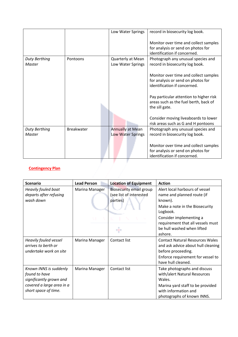|                                |                   | Low Water Springs                                   | record in biosecurity log book.                                                                                                                                                                                                                           |
|--------------------------------|-------------------|-----------------------------------------------------|-----------------------------------------------------------------------------------------------------------------------------------------------------------------------------------------------------------------------------------------------------------|
|                                |                   |                                                     | Monitor over time and collect samples<br>for analysis or send on photos for<br>identification if concerned.                                                                                                                                               |
| <b>Duty Berthing</b><br>Master | Pontoons          | <b>Quarterly at Mean</b><br>Low Water Springs       | Photograph any unusual species and<br>record in biosecurity log book.                                                                                                                                                                                     |
|                                |                   |                                                     | Monitor over time and collect samples<br>for analysis or send on photos for<br>identification if concerned.<br>Pay particular attention to higher risk<br>areas such as the fuel berth, back of<br>the sill gate.<br>Consider moving liveaboards to lower |
|                                |                   |                                                     | risk areas such as G and H pontoons                                                                                                                                                                                                                       |
| <b>Duty Berthing</b><br>Master | <b>Breakwater</b> | <b>Annually at Mean</b><br><b>Low Water Springs</b> | Photograph any unusual species and<br>record in biosecurity log book.                                                                                                                                                                                     |
|                                |                   |                                                     | Monitor over time and collect samples<br>for analysis or send on photos for<br>identification if concerned.                                                                                                                                               |
| <b>Contingency Plan</b>        |                   |                                                     |                                                                                                                                                                                                                                                           |
|                                |                   |                                                     |                                                                                                                                                                                                                                                           |

## **Contingency Plan**

| <b>Scenario</b>                                                                                                         | <b>Lead Person</b>           | <b>Location of Equipment</b>                                          | <b>Action</b>                                                                                                                                                                                                                  |
|-------------------------------------------------------------------------------------------------------------------------|------------------------------|-----------------------------------------------------------------------|--------------------------------------------------------------------------------------------------------------------------------------------------------------------------------------------------------------------------------|
| <b>Heavily fouled boat</b><br>departs after refusing<br>wash down                                                       | Marina Manager<br>Martin Mar | <b>Biosecurity email group</b><br>(see list of interested<br>parties) | Alert local harbours of vessel<br>name and planned route (if<br>known).<br>Make a note in the Biosecurity<br>Logbook.<br>Consider implementing a<br>requirement that all vessels must<br>be hull washed when lifted<br>ashore. |
| <b>Heavily fouled vessel</b><br>arrives to berth or<br>undertake work on site                                           | Marina Manager               | Contact list                                                          | <b>Contact Natural Resources Wales</b><br>and ask advice about hull cleaning<br>before proceeding.<br>Enforce requirement for vessel to<br>have hull cleaned.                                                                  |
| Known INNS is suddenly<br>found to have<br>significantly grown and<br>covered a large area in a<br>short space of time. | Marina Manager               | Contact list                                                          | Take photographs and discuss<br>with/alert Natural Resources<br>Wales.<br>Marina yard staff to be provided<br>with information and<br>photographs of known INNS.                                                               |